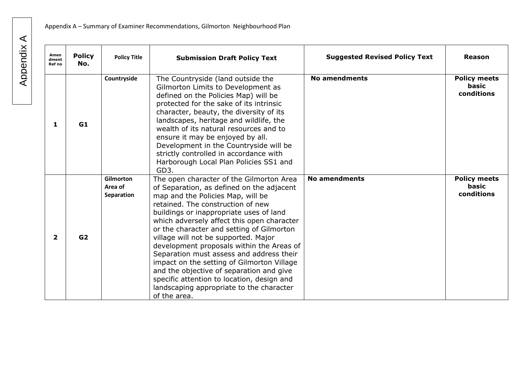| Amen<br>dment<br>Ref no | <b>Policy</b><br>No. | <b>Policy Title</b>                | <b>Submission Draft Policy Text</b>                                                                                                                                                                                                                                                                                                                                                                                                                                                                                                                                                                                                        | <b>Suggested Revised Policy Text</b> | Reason                                     |
|-------------------------|----------------------|------------------------------------|--------------------------------------------------------------------------------------------------------------------------------------------------------------------------------------------------------------------------------------------------------------------------------------------------------------------------------------------------------------------------------------------------------------------------------------------------------------------------------------------------------------------------------------------------------------------------------------------------------------------------------------------|--------------------------------------|--------------------------------------------|
| 1                       | G1                   | Countryside                        | The Countryside (land outside the<br>Gilmorton Limits to Development as<br>defined on the Policies Map) will be<br>protected for the sake of its intrinsic<br>character, beauty, the diversity of its<br>landscapes, heritage and wildlife, the<br>wealth of its natural resources and to<br>ensure it may be enjoyed by all.<br>Development in the Countryside will be<br>strictly controlled in accordance with<br>Harborough Local Plan Policies SS1 and<br>GD3.                                                                                                                                                                        | <b>No amendments</b>                 | <b>Policy meets</b><br>basic<br>conditions |
| $\mathbf{2}$            | G <sub>2</sub>       | Gilmorton<br>Area of<br>Separation | The open character of the Gilmorton Area<br>of Separation, as defined on the adjacent<br>map and the Policies Map, will be<br>retained. The construction of new<br>buildings or inappropriate uses of land<br>which adversely affect this open character<br>or the character and setting of Gilmorton<br>village will not be supported. Major<br>development proposals within the Areas of<br>Separation must assess and address their<br>impact on the setting of Gilmorton Village<br>and the objective of separation and give<br>specific attention to location, design and<br>landscaping appropriate to the character<br>of the area. | <b>No amendments</b>                 | <b>Policy meets</b><br>basic<br>conditions |

## Appendix A Appendix A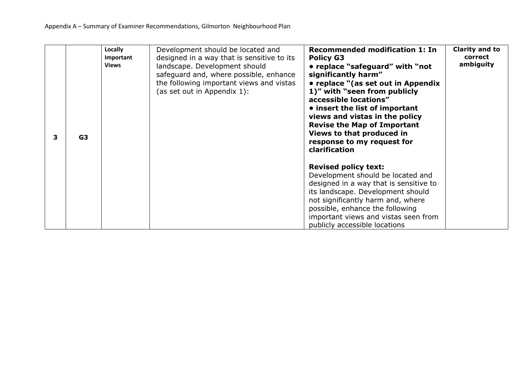| 3 | G3 | Locally<br>Important<br><b>Views</b> | Development should be located and<br>designed in a way that is sensitive to its<br>landscape. Development should<br>safeguard and, where possible, enhance<br>the following important views and vistas<br>(as set out in Appendix 1): | <b>Recommended modification 1: In</b><br><b>Policy G3</b><br>• replace "safeguard" with "not<br>significantly harm"<br>• replace "(as set out in Appendix<br>1)" with "seen from publicly<br>accessible locations"<br>• insert the list of important<br>views and vistas in the policy<br><b>Revise the Map of Important</b><br>Views to that produced in<br>response to my request for<br>clarification | Clarity and to<br>correct<br>ambiguity |
|---|----|--------------------------------------|---------------------------------------------------------------------------------------------------------------------------------------------------------------------------------------------------------------------------------------|----------------------------------------------------------------------------------------------------------------------------------------------------------------------------------------------------------------------------------------------------------------------------------------------------------------------------------------------------------------------------------------------------------|----------------------------------------|
|   |    |                                      |                                                                                                                                                                                                                                       | <b>Revised policy text:</b><br>Development should be located and<br>designed in a way that is sensitive to<br>its landscape. Development should<br>not significantly harm and, where<br>possible, enhance the following<br>important views and vistas seen from<br>publicly accessible locations                                                                                                         |                                        |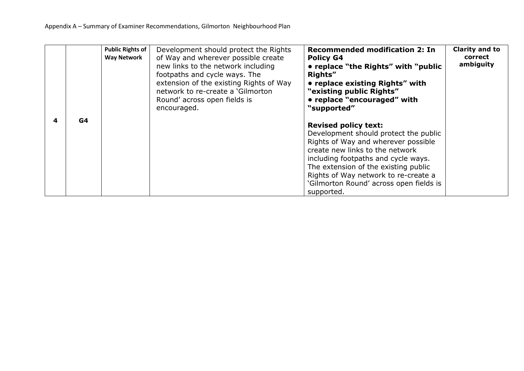|   |    | <b>Public Rights of</b><br><b>Way Network</b> | Development should protect the Rights<br>of Way and wherever possible create<br>new links to the network including<br>footpaths and cycle ways. The<br>extension of the existing Rights of Way<br>network to re-create a 'Gilmorton<br>Round' across open fields is<br>encouraged. | <b>Recommended modification 2: In</b><br><b>Policy G4</b><br>• replace "the Rights" with "public"<br>Rights"<br>• replace existing Rights" with<br>"existing public Rights"<br>• replace "encouraged" with<br>"supported"                                                                                                      | Clarity and to<br>correct<br>ambiguity |
|---|----|-----------------------------------------------|------------------------------------------------------------------------------------------------------------------------------------------------------------------------------------------------------------------------------------------------------------------------------------|--------------------------------------------------------------------------------------------------------------------------------------------------------------------------------------------------------------------------------------------------------------------------------------------------------------------------------|----------------------------------------|
| 4 | G4 |                                               |                                                                                                                                                                                                                                                                                    | <b>Revised policy text:</b><br>Development should protect the public<br>Rights of Way and wherever possible<br>create new links to the network<br>including footpaths and cycle ways.<br>The extension of the existing public<br>Rights of Way network to re-create a<br>'Gilmorton Round' across open fields is<br>supported. |                                        |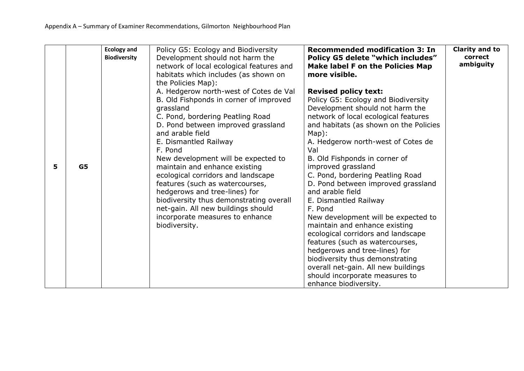|   |                | <b>Ecology and</b>  | Policy G5: Ecology and Biodiversity      | <b>Recommended modification 3: In</b>   | <b>Clarity and to</b> |
|---|----------------|---------------------|------------------------------------------|-----------------------------------------|-----------------------|
|   |                | <b>Biodiversity</b> | Development should not harm the          | Policy G5 delete "which includes"       | correct               |
|   |                |                     | network of local ecological features and | <b>Make label F on the Policies Map</b> | ambiguity             |
|   |                |                     | habitats which includes (as shown on     | more visible.                           |                       |
|   |                |                     | the Policies Map):                       |                                         |                       |
|   |                |                     | A. Hedgerow north-west of Cotes de Val   | <b>Revised policy text:</b>             |                       |
|   |                |                     | B. Old Fishponds in corner of improved   | Policy G5: Ecology and Biodiversity     |                       |
|   |                |                     | grassland                                | Development should not harm the         |                       |
|   |                |                     | C. Pond, bordering Peatling Road         | network of local ecological features    |                       |
|   |                |                     | D. Pond between improved grassland       | and habitats (as shown on the Policies  |                       |
|   |                |                     | and arable field                         | Map):                                   |                       |
|   |                |                     | E. Dismantled Railway                    | A. Hedgerow north-west of Cotes de      |                       |
|   |                |                     | F. Pond                                  | Val                                     |                       |
|   |                |                     | New development will be expected to      | B. Old Fishponds in corner of           |                       |
| 5 | G <sub>5</sub> |                     | maintain and enhance existing            | improved grassland                      |                       |
|   |                |                     | ecological corridors and landscape       | C. Pond, bordering Peatling Road        |                       |
|   |                |                     | features (such as watercourses,          | D. Pond between improved grassland      |                       |
|   |                |                     | hedgerows and tree-lines) for            | and arable field                        |                       |
|   |                |                     | biodiversity thus demonstrating overall  | E. Dismantled Railway                   |                       |
|   |                |                     | net-gain. All new buildings should       | F. Pond                                 |                       |
|   |                |                     | incorporate measures to enhance          | New development will be expected to     |                       |
|   |                |                     | biodiversity.                            | maintain and enhance existing           |                       |
|   |                |                     |                                          | ecological corridors and landscape      |                       |
|   |                |                     |                                          | features (such as watercourses,         |                       |
|   |                |                     |                                          | hedgerows and tree-lines) for           |                       |
|   |                |                     |                                          | biodiversity thus demonstrating         |                       |
|   |                |                     |                                          | overall net-gain. All new buildings     |                       |
|   |                |                     |                                          | should incorporate measures to          |                       |
|   |                |                     |                                          | enhance biodiversity.                   |                       |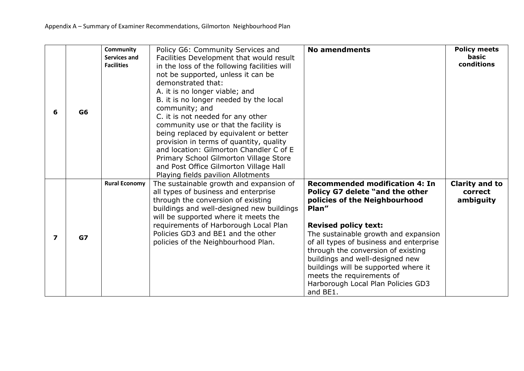|                         |                | <b>Community</b><br><b>Services and</b> | Policy G6: Community Services and<br>Facilities Development that would result                                                                                                                                                                                                                                                                                                                                                                                                                                                                  | <b>No amendments</b>                                                                                                                                                                                                                                                                                                                                                                                                                 | <b>Policy meets</b><br>basic                  |
|-------------------------|----------------|-----------------------------------------|------------------------------------------------------------------------------------------------------------------------------------------------------------------------------------------------------------------------------------------------------------------------------------------------------------------------------------------------------------------------------------------------------------------------------------------------------------------------------------------------------------------------------------------------|--------------------------------------------------------------------------------------------------------------------------------------------------------------------------------------------------------------------------------------------------------------------------------------------------------------------------------------------------------------------------------------------------------------------------------------|-----------------------------------------------|
| 6                       | G <sub>6</sub> | <b>Facilities</b>                       | in the loss of the following facilities will<br>not be supported, unless it can be<br>demonstrated that:<br>A. it is no longer viable; and<br>B. it is no longer needed by the local<br>community; and<br>C. it is not needed for any other<br>community use or that the facility is<br>being replaced by equivalent or better<br>provision in terms of quantity, quality<br>and location: Gilmorton Chandler C of E<br>Primary School Gilmorton Village Store<br>and Post Office Gilmorton Village Hall<br>Playing fields pavilion Allotments |                                                                                                                                                                                                                                                                                                                                                                                                                                      | conditions                                    |
| $\overline{\mathbf{z}}$ | GZ             | <b>Rural Economy</b>                    | The sustainable growth and expansion of<br>all types of business and enterprise<br>through the conversion of existing<br>buildings and well-designed new buildings<br>will be supported where it meets the<br>requirements of Harborough Local Plan<br>Policies GD3 and BE1 and the other<br>policies of the Neighbourhood Plan.                                                                                                                                                                                                               | <b>Recommended modification 4: In</b><br>Policy G7 delete "and the other<br>policies of the Neighbourhood<br>Plan"<br><b>Revised policy text:</b><br>The sustainable growth and expansion<br>of all types of business and enterprise<br>through the conversion of existing<br>buildings and well-designed new<br>buildings will be supported where it<br>meets the requirements of<br>Harborough Local Plan Policies GD3<br>and BE1. | <b>Clarity and to</b><br>correct<br>ambiguity |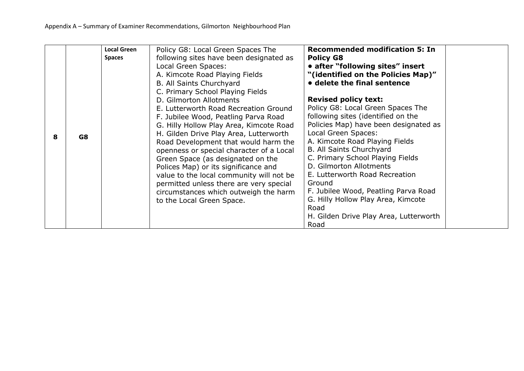| 8 | G8 | <b>Local Green</b><br><b>Spaces</b> | Policy G8: Local Green Spaces The<br>following sites have been designated as<br>Local Green Spaces:<br>A. Kimcote Road Playing Fields<br>B. All Saints Churchyard<br>C. Primary School Playing Fields<br>D. Gilmorton Allotments<br>E. Lutterworth Road Recreation Ground<br>F. Jubilee Wood, Peatling Parva Road<br>G. Hilly Hollow Play Area, Kimcote Road<br>H. Gilden Drive Play Area, Lutterworth<br>Road Development that would harm the<br>openness or special character of a Local<br>Green Space (as designated on the<br>Polices Map) or its significance and<br>value to the local community will not be<br>permitted unless there are very special<br>circumstances which outweigh the harm<br>to the Local Green Space. | <b>Recommended modification 5: In</b><br><b>Policy G8</b><br>• after "following sites" insert<br>"(identified on the Policies Map)"<br>• delete the final sentence<br><b>Revised policy text:</b><br>Policy G8: Local Green Spaces The<br>following sites (identified on the<br>Policies Map) have been designated as<br>Local Green Spaces:<br>A. Kimcote Road Playing Fields<br>B. All Saints Churchyard<br>C. Primary School Playing Fields<br>D. Gilmorton Allotments<br>E. Lutterworth Road Recreation<br>Ground<br>F. Jubilee Wood, Peatling Parva Road<br>G. Hilly Hollow Play Area, Kimcote<br>Road<br>H. Gilden Drive Play Area, Lutterworth<br>Road |  |
|---|----|-------------------------------------|--------------------------------------------------------------------------------------------------------------------------------------------------------------------------------------------------------------------------------------------------------------------------------------------------------------------------------------------------------------------------------------------------------------------------------------------------------------------------------------------------------------------------------------------------------------------------------------------------------------------------------------------------------------------------------------------------------------------------------------|---------------------------------------------------------------------------------------------------------------------------------------------------------------------------------------------------------------------------------------------------------------------------------------------------------------------------------------------------------------------------------------------------------------------------------------------------------------------------------------------------------------------------------------------------------------------------------------------------------------------------------------------------------------|--|
|---|----|-------------------------------------|--------------------------------------------------------------------------------------------------------------------------------------------------------------------------------------------------------------------------------------------------------------------------------------------------------------------------------------------------------------------------------------------------------------------------------------------------------------------------------------------------------------------------------------------------------------------------------------------------------------------------------------------------------------------------------------------------------------------------------------|---------------------------------------------------------------------------------------------------------------------------------------------------------------------------------------------------------------------------------------------------------------------------------------------------------------------------------------------------------------------------------------------------------------------------------------------------------------------------------------------------------------------------------------------------------------------------------------------------------------------------------------------------------------|--|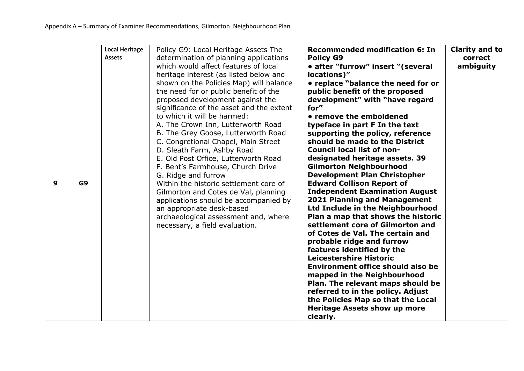|   |                | <b>Local Heritage</b> | Policy G9: Local Heritage Assets The     | <b>Recommended modification 6: In</b>    | <b>Clarity and to</b> |
|---|----------------|-----------------------|------------------------------------------|------------------------------------------|-----------------------|
|   |                | <b>Assets</b>         | determination of planning applications   | <b>Policy G9</b>                         | correct               |
|   |                |                       | which would affect features of local     | • after "furrow" insert "(several        | ambiguity             |
|   |                |                       | heritage interest (as listed below and   | locations)"                              |                       |
|   |                |                       | shown on the Policies Map) will balance  | • replace "balance the need for or       |                       |
|   |                |                       | the need for or public benefit of the    | public benefit of the proposed           |                       |
|   |                |                       | proposed development against the         | development" with "have regard           |                       |
|   |                |                       | significance of the asset and the extent | for"                                     |                       |
|   |                |                       | to which it will be harmed:              | • remove the emboldened                  |                       |
|   |                |                       | A. The Crown Inn, Lutterworth Road       | typeface in part F In the text           |                       |
|   |                |                       | B. The Grey Goose, Lutterworth Road      | supporting the policy, reference         |                       |
|   |                |                       | C. Congretional Chapel, Main Street      | should be made to the District           |                       |
|   |                |                       | D. Sleath Farm, Ashby Road               | <b>Council local list of non-</b>        |                       |
|   |                |                       | E. Old Post Office, Lutterworth Road     | designated heritage assets. 39           |                       |
|   |                |                       | F. Bent's Farmhouse, Church Drive        | <b>Gilmorton Neighbourhood</b>           |                       |
|   |                |                       | G. Ridge and furrow                      | <b>Development Plan Christopher</b>      |                       |
| 9 | G <sub>9</sub> |                       | Within the historic settlement core of   | <b>Edward Collison Report of</b>         |                       |
|   |                |                       | Gilmorton and Cotes de Val, planning     | <b>Independent Examination August</b>    |                       |
|   |                |                       | applications should be accompanied by    | <b>2021 Planning and Management</b>      |                       |
|   |                |                       | an appropriate desk-based                | Ltd Include in the Neighbourhood         |                       |
|   |                |                       | archaeological assessment and, where     | Plan a map that shows the historic       |                       |
|   |                |                       | necessary, a field evaluation.           | settlement core of Gilmorton and         |                       |
|   |                |                       |                                          | of Cotes de Val. The certain and         |                       |
|   |                |                       |                                          | probable ridge and furrow                |                       |
|   |                |                       |                                          | features identified by the               |                       |
|   |                |                       |                                          | Leicestershire Historic                  |                       |
|   |                |                       |                                          | <b>Environment office should also be</b> |                       |
|   |                |                       |                                          | mapped in the Neighbourhood              |                       |
|   |                |                       |                                          | Plan. The relevant maps should be        |                       |
|   |                |                       |                                          | referred to in the policy. Adjust        |                       |
|   |                |                       |                                          | the Policies Map so that the Local       |                       |
|   |                |                       |                                          | <b>Heritage Assets show up more</b>      |                       |
|   |                |                       |                                          | clearly.                                 |                       |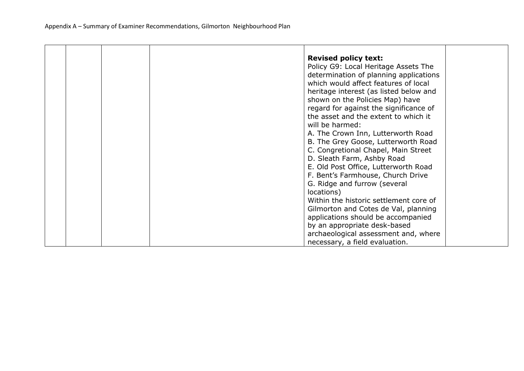|  |  | <b>Revised policy text:</b>            |  |
|--|--|----------------------------------------|--|
|  |  | Policy G9: Local Heritage Assets The   |  |
|  |  | determination of planning applications |  |
|  |  | which would affect features of local   |  |
|  |  | heritage interest (as listed below and |  |
|  |  | shown on the Policies Map) have        |  |
|  |  | regard for against the significance of |  |
|  |  | the asset and the extent to which it   |  |
|  |  | will be harmed:                        |  |
|  |  | A. The Crown Inn, Lutterworth Road     |  |
|  |  | B. The Grey Goose, Lutterworth Road    |  |
|  |  | C. Congretional Chapel, Main Street    |  |
|  |  | D. Sleath Farm, Ashby Road             |  |
|  |  | E. Old Post Office, Lutterworth Road   |  |
|  |  | F. Bent's Farmhouse, Church Drive      |  |
|  |  | G. Ridge and furrow (several           |  |
|  |  | locations)                             |  |
|  |  | Within the historic settlement core of |  |
|  |  | Gilmorton and Cotes de Val, planning   |  |
|  |  | applications should be accompanied     |  |
|  |  | by an appropriate desk-based           |  |
|  |  | archaeological assessment and, where   |  |
|  |  | necessary, a field evaluation.         |  |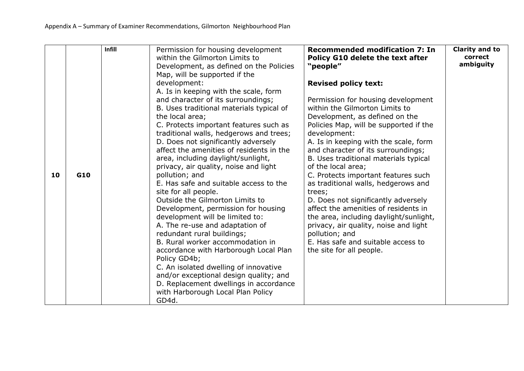|    |     | Infill | Permission for housing development<br>within the Gilmorton Limits to<br>Development, as defined on the Policies<br>Map, will be supported if the<br>development:<br>A. Is in keeping with the scale, form                                                                                                                                                                                                                                                                                                                                                                                                                                                                                                                                                                                                                                                                                          | <b>Recommended modification 7: In</b><br>Policy G10 delete the text after<br>"people"<br><b>Revised policy text:</b>                                                                                                                                                                                                                                                                                                                                                                                                                                                                                                                                         | <b>Clarity and to</b><br>correct<br>ambiguity |
|----|-----|--------|----------------------------------------------------------------------------------------------------------------------------------------------------------------------------------------------------------------------------------------------------------------------------------------------------------------------------------------------------------------------------------------------------------------------------------------------------------------------------------------------------------------------------------------------------------------------------------------------------------------------------------------------------------------------------------------------------------------------------------------------------------------------------------------------------------------------------------------------------------------------------------------------------|--------------------------------------------------------------------------------------------------------------------------------------------------------------------------------------------------------------------------------------------------------------------------------------------------------------------------------------------------------------------------------------------------------------------------------------------------------------------------------------------------------------------------------------------------------------------------------------------------------------------------------------------------------------|-----------------------------------------------|
| 10 | G10 |        | and character of its surroundings;<br>B. Uses traditional materials typical of<br>the local area;<br>C. Protects important features such as<br>traditional walls, hedgerows and trees;<br>D. Does not significantly adversely<br>affect the amenities of residents in the<br>area, including daylight/sunlight,<br>privacy, air quality, noise and light<br>pollution; and<br>E. Has safe and suitable access to the<br>site for all people.<br>Outside the Gilmorton Limits to<br>Development, permission for housing<br>development will be limited to:<br>A. The re-use and adaptation of<br>redundant rural buildings;<br>B. Rural worker accommodation in<br>accordance with Harborough Local Plan<br>Policy GD4b;<br>C. An isolated dwelling of innovative<br>and/or exceptional design quality; and<br>D. Replacement dwellings in accordance<br>with Harborough Local Plan Policy<br>GD4d. | Permission for housing development<br>within the Gilmorton Limits to<br>Development, as defined on the<br>Policies Map, will be supported if the<br>development:<br>A. Is in keeping with the scale, form<br>and character of its surroundings;<br>B. Uses traditional materials typical<br>of the local area;<br>C. Protects important features such<br>as traditional walls, hedgerows and<br>trees;<br>D. Does not significantly adversely<br>affect the amenities of residents in<br>the area, including daylight/sunlight,<br>privacy, air quality, noise and light<br>pollution; and<br>E. Has safe and suitable access to<br>the site for all people. |                                               |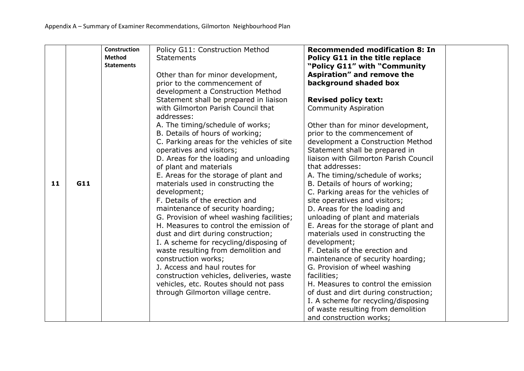|    |     | <b>Construction</b><br><b>Method</b><br><b>Statements</b> | Policy G11: Construction Method<br><b>Statements</b><br>Other than for minor development,<br>prior to the commencement of                                                                                                                                                                                                                                                                                                                                                           | <b>Recommended modification 8: In</b><br>Policy G11 in the title replace<br>"Policy G11" with "Community<br>Aspiration" and remove the<br>background shaded box                                                                                                                                                                                                                                                                                                                                                                                         |
|----|-----|-----------------------------------------------------------|-------------------------------------------------------------------------------------------------------------------------------------------------------------------------------------------------------------------------------------------------------------------------------------------------------------------------------------------------------------------------------------------------------------------------------------------------------------------------------------|---------------------------------------------------------------------------------------------------------------------------------------------------------------------------------------------------------------------------------------------------------------------------------------------------------------------------------------------------------------------------------------------------------------------------------------------------------------------------------------------------------------------------------------------------------|
| 11 | G11 |                                                           | development a Construction Method<br>Statement shall be prepared in liaison<br>with Gilmorton Parish Council that<br>addresses:<br>A. The timing/schedule of works;<br>B. Details of hours of working;<br>C. Parking areas for the vehicles of site<br>operatives and visitors;<br>D. Areas for the loading and unloading<br>of plant and materials<br>E. Areas for the storage of plant and<br>materials used in constructing the                                                  | <b>Revised policy text:</b><br><b>Community Aspiration</b><br>Other than for minor development,<br>prior to the commencement of<br>development a Construction Method<br>Statement shall be prepared in<br>liaison with Gilmorton Parish Council<br>that addresses:<br>A. The timing/schedule of works;<br>B. Details of hours of working;                                                                                                                                                                                                               |
|    |     |                                                           | development;<br>F. Details of the erection and<br>maintenance of security hoarding;<br>G. Provision of wheel washing facilities;<br>H. Measures to control the emission of<br>dust and dirt during construction;<br>I. A scheme for recycling/disposing of<br>waste resulting from demolition and<br>construction works;<br>J. Access and haul routes for<br>construction vehicles, deliveries, waste<br>vehicles, etc. Routes should not pass<br>through Gilmorton village centre. | C. Parking areas for the vehicles of<br>site operatives and visitors;<br>D. Areas for the loading and<br>unloading of plant and materials<br>E. Areas for the storage of plant and<br>materials used in constructing the<br>development;<br>F. Details of the erection and<br>maintenance of security hoarding;<br>G. Provision of wheel washing<br>facilities;<br>H. Measures to control the emission<br>of dust and dirt during construction;<br>I. A scheme for recycling/disposing<br>of waste resulting from demolition<br>and construction works; |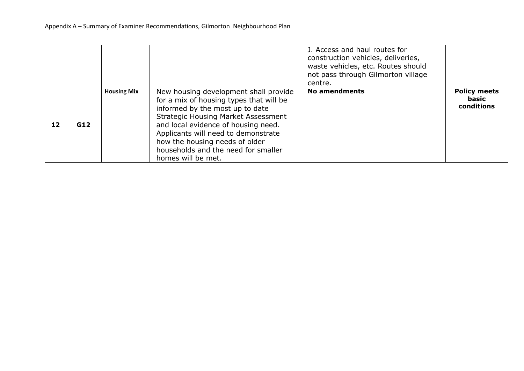|    |     |                    |                                                                                                                                                                                                                                                                                                                                                | J. Access and haul routes for<br>construction vehicles, deliveries,<br>waste vehicles, etc. Routes should<br>not pass through Gilmorton village<br>centre. |                                            |
|----|-----|--------------------|------------------------------------------------------------------------------------------------------------------------------------------------------------------------------------------------------------------------------------------------------------------------------------------------------------------------------------------------|------------------------------------------------------------------------------------------------------------------------------------------------------------|--------------------------------------------|
| 12 | G12 | <b>Housing Mix</b> | New housing development shall provide<br>for a mix of housing types that will be<br>informed by the most up to date<br><b>Strategic Housing Market Assessment</b><br>and local evidence of housing need.<br>Applicants will need to demonstrate<br>how the housing needs of older<br>households and the need for smaller<br>homes will be met. | <b>No amendments</b>                                                                                                                                       | <b>Policy meets</b><br>basic<br>conditions |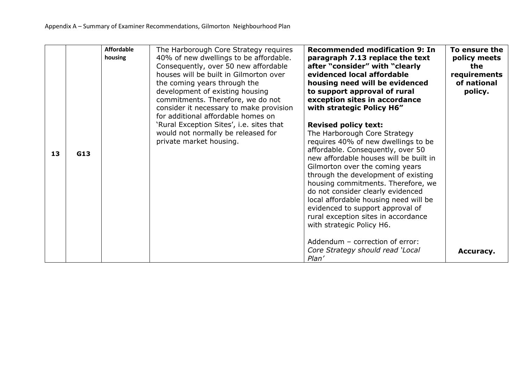|    |     | <b>Affordable</b><br>housing | The Harborough Core Strategy requires<br>40% of new dwellings to be affordable.<br>Consequently, over 50 new affordable<br>houses will be built in Gilmorton over<br>the coming years through the<br>development of existing housing<br>commitments. Therefore, we do not<br>consider it necessary to make provision<br>for additional affordable homes on | <b>Recommended modification 9: In</b><br>paragraph 7.13 replace the text<br>after "consider" with "clearly<br>evidenced local affordable<br>housing need will be evidenced<br>to support approval of rural<br>exception sites in accordance<br>with strategic Policy H6"                                                                                                                                                                                                                                                                                       | To ensure the<br>policy meets<br>the<br>requirements<br>of national<br>policy. |
|----|-----|------------------------------|------------------------------------------------------------------------------------------------------------------------------------------------------------------------------------------------------------------------------------------------------------------------------------------------------------------------------------------------------------|----------------------------------------------------------------------------------------------------------------------------------------------------------------------------------------------------------------------------------------------------------------------------------------------------------------------------------------------------------------------------------------------------------------------------------------------------------------------------------------------------------------------------------------------------------------|--------------------------------------------------------------------------------|
| 13 | G13 |                              | 'Rural Exception Sites', i.e. sites that<br>would not normally be released for<br>private market housing.                                                                                                                                                                                                                                                  | <b>Revised policy text:</b><br>The Harborough Core Strategy<br>requires 40% of new dwellings to be<br>affordable. Consequently, over 50<br>new affordable houses will be built in<br>Gilmorton over the coming years<br>through the development of existing<br>housing commitments. Therefore, we<br>do not consider clearly evidenced<br>local affordable housing need will be<br>evidenced to support approval of<br>rural exception sites in accordance<br>with strategic Policy H6.<br>Addendum - correction of error:<br>Core Strategy should read 'Local | Accuracy.                                                                      |
|    |     |                              |                                                                                                                                                                                                                                                                                                                                                            | Plan'                                                                                                                                                                                                                                                                                                                                                                                                                                                                                                                                                          |                                                                                |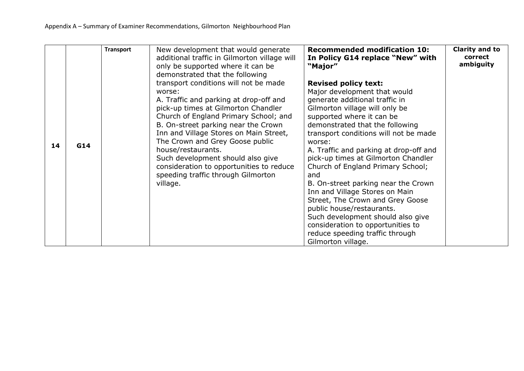|    |     | <b>Transport</b> | New development that would generate<br>additional traffic in Gilmorton village will<br>only be supported where it can be                                                                                                                                                                                                                                                                                                                                                                  | <b>Recommended modification 10:</b><br>In Policy G14 replace "New" with<br>"Major"                                                                                                                                                                                                                                                                                                                                                                                                                                                                                                                                                                           | Clarity and to<br>correct<br>ambiguity |
|----|-----|------------------|-------------------------------------------------------------------------------------------------------------------------------------------------------------------------------------------------------------------------------------------------------------------------------------------------------------------------------------------------------------------------------------------------------------------------------------------------------------------------------------------|--------------------------------------------------------------------------------------------------------------------------------------------------------------------------------------------------------------------------------------------------------------------------------------------------------------------------------------------------------------------------------------------------------------------------------------------------------------------------------------------------------------------------------------------------------------------------------------------------------------------------------------------------------------|----------------------------------------|
| 14 | G14 |                  | demonstrated that the following<br>transport conditions will not be made<br>worse:<br>A. Traffic and parking at drop-off and<br>pick-up times at Gilmorton Chandler<br>Church of England Primary School; and<br>B. On-street parking near the Crown<br>Inn and Village Stores on Main Street,<br>The Crown and Grey Goose public<br>house/restaurants.<br>Such development should also give<br>consideration to opportunities to reduce<br>speeding traffic through Gilmorton<br>village. | <b>Revised policy text:</b><br>Major development that would<br>generate additional traffic in<br>Gilmorton village will only be<br>supported where it can be<br>demonstrated that the following<br>transport conditions will not be made<br>worse:<br>A. Traffic and parking at drop-off and<br>pick-up times at Gilmorton Chandler<br>Church of England Primary School;<br>and<br>B. On-street parking near the Crown<br>Inn and Village Stores on Main<br>Street, The Crown and Grey Goose<br>public house/restaurants.<br>Such development should also give<br>consideration to opportunities to<br>reduce speeding traffic through<br>Gilmorton village. |                                        |